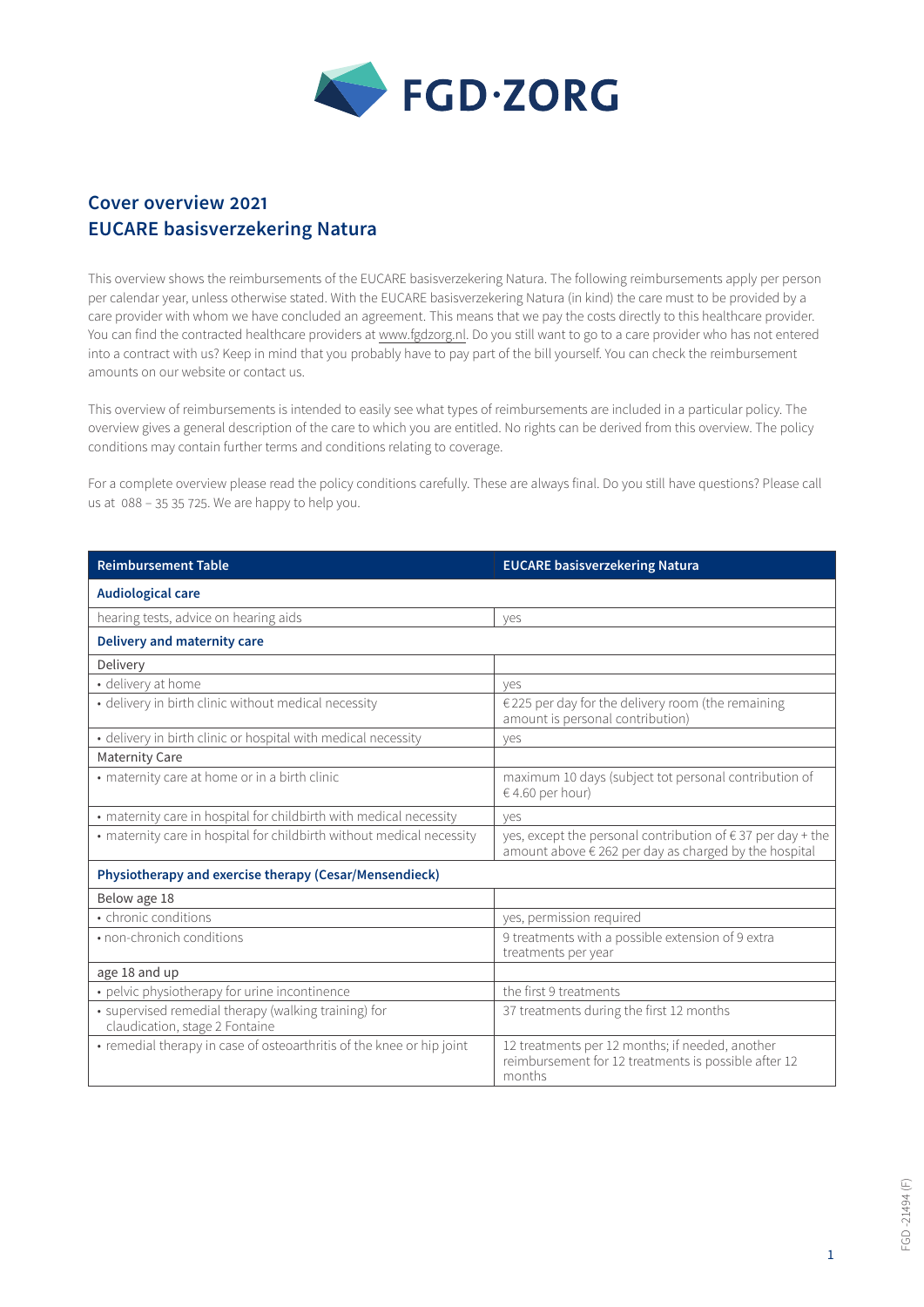

## **Cover overview 2021 EUCARE basisverzekering Natura**

This overview shows the reimbursements of the EUCARE basisverzekering Natura. The following reimbursements apply per person per calendar year, unless otherwise stated. With the EUCARE basisverzekering Natura (in kind) the care must to be provided by a care provider with whom we have concluded an agreement. This means that we pay the costs directly to this healthcare provider. You can find the contracted healthcare providers at [www.fgdzorg.nl](http://www.fgdzorg.nl). Do you still want to go to a care provider who has not entered into a contract with us? Keep in mind that you probably have to pay part of the bill yourself. You can check the reimbursement amounts on our website or contact us.

This overview of reimbursements is intended to easily see what types of reimbursements are included in a particular policy. The overview gives a general description of the care to which you are entitled. No rights can be derived from this overview. The policy conditions may contain further terms and conditions relating to coverage.

For a complete overview please read the policy conditions carefully. These are always final. Do you still have questions? Please call us at 088 – 35 35 725. We are happy to help you.

| <b>Reimbursement Table</b>                                                             | <b>EUCARE basisverzekering Natura</b>                                                                                         |  |
|----------------------------------------------------------------------------------------|-------------------------------------------------------------------------------------------------------------------------------|--|
| <b>Audiological care</b>                                                               |                                                                                                                               |  |
| hearing tests, advice on hearing aids                                                  | ves                                                                                                                           |  |
| <b>Delivery and maternity care</b>                                                     |                                                                                                                               |  |
| Delivery                                                                               |                                                                                                                               |  |
| · delivery at home                                                                     | ves                                                                                                                           |  |
| · delivery in birth clinic without medical necessity                                   | €225 per day for the delivery room (the remaining<br>amount is personal contribution)                                         |  |
| · delivery in birth clinic or hospital with medical necessity                          | ves                                                                                                                           |  |
| <b>Maternity Care</b>                                                                  |                                                                                                                               |  |
| • maternity care at home or in a birth clinic                                          | maximum 10 days (subject tot personal contribution of<br>$64.60$ per hour)                                                    |  |
| • maternity care in hospital for childbirth with medical necessity                     | ves                                                                                                                           |  |
| • maternity care in hospital for childbirth without medical necessity                  | yes, except the personal contribution of $\epsilon$ 37 per day + the<br>amount above € 262 per day as charged by the hospital |  |
| Physiotherapy and exercise therapy (Cesar/Mensendieck)                                 |                                                                                                                               |  |
| Below age 18                                                                           |                                                                                                                               |  |
| • chronic conditions                                                                   | yes, permission required                                                                                                      |  |
| • non-chronich conditions                                                              | 9 treatments with a possible extension of 9 extra<br>treatments per year                                                      |  |
| age 18 and up                                                                          |                                                                                                                               |  |
| • pelvic physiotherapy for urine incontinence                                          | the first 9 treatments                                                                                                        |  |
| • supervised remedial therapy (walking training) for<br>claudication, stage 2 Fontaine | 37 treatments during the first 12 months                                                                                      |  |
| • remedial therapy in case of osteoarthritis of the knee or hip joint                  | 12 treatments per 12 months; if needed, another<br>reimbursement for 12 treatments is possible after 12<br>months             |  |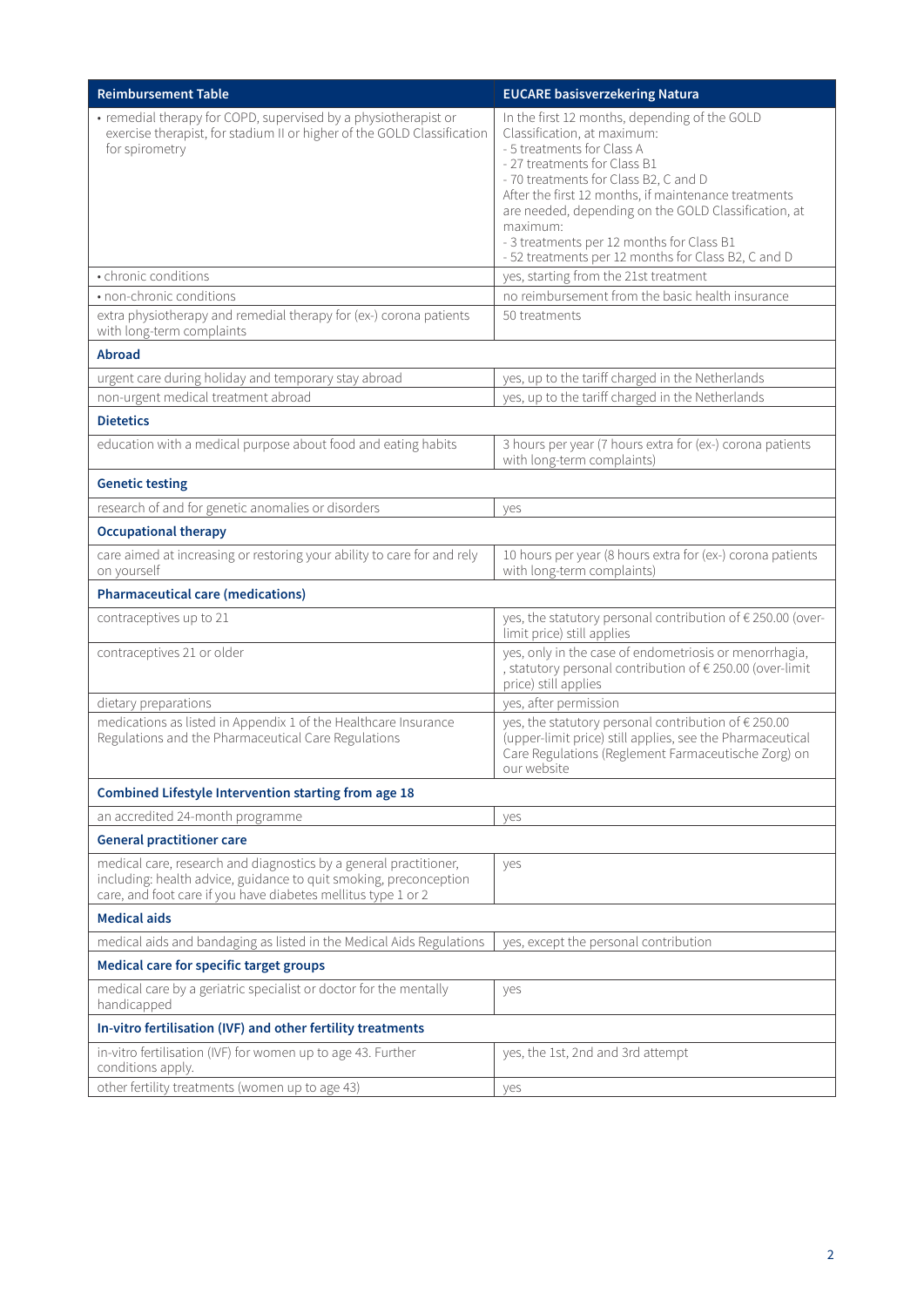| <b>Reimbursement Table</b>                                                                                                                                                                              | <b>EUCARE basisverzekering Natura</b>                                                                                                                                                                                                                                                                                                                                                                               |  |
|---------------------------------------------------------------------------------------------------------------------------------------------------------------------------------------------------------|---------------------------------------------------------------------------------------------------------------------------------------------------------------------------------------------------------------------------------------------------------------------------------------------------------------------------------------------------------------------------------------------------------------------|--|
| • remedial therapy for COPD, supervised by a physiotherapist or<br>exercise therapist, for stadium II or higher of the GOLD Classification<br>for spirometry                                            | In the first 12 months, depending of the GOLD<br>Classification, at maximum:<br>- 5 treatments for Class A<br>- 27 treatments for Class B1<br>- 70 treatments for Class B2, C and D<br>After the first 12 months, if maintenance treatments<br>are needed, depending on the GOLD Classification, at<br>maximum:<br>- 3 treatments per 12 months for Class B1<br>- 52 treatments per 12 months for Class B2, C and D |  |
| • chronic conditions                                                                                                                                                                                    | yes, starting from the 21st treatment                                                                                                                                                                                                                                                                                                                                                                               |  |
| • non-chronic conditions                                                                                                                                                                                | no reimbursement from the basic health insurance                                                                                                                                                                                                                                                                                                                                                                    |  |
| extra physiotherapy and remedial therapy for (ex-) corona patients<br>with long-term complaints                                                                                                         | 50 treatments                                                                                                                                                                                                                                                                                                                                                                                                       |  |
| <b>Abroad</b>                                                                                                                                                                                           |                                                                                                                                                                                                                                                                                                                                                                                                                     |  |
| urgent care during holiday and temporary stay abroad                                                                                                                                                    | yes, up to the tariff charged in the Netherlands                                                                                                                                                                                                                                                                                                                                                                    |  |
| non-urgent medical treatment abroad                                                                                                                                                                     | yes, up to the tariff charged in the Netherlands                                                                                                                                                                                                                                                                                                                                                                    |  |
| <b>Dietetics</b>                                                                                                                                                                                        |                                                                                                                                                                                                                                                                                                                                                                                                                     |  |
| education with a medical purpose about food and eating habits                                                                                                                                           | 3 hours per year (7 hours extra for (ex-) corona patients<br>with long-term complaints)                                                                                                                                                                                                                                                                                                                             |  |
| <b>Genetic testing</b>                                                                                                                                                                                  |                                                                                                                                                                                                                                                                                                                                                                                                                     |  |
| research of and for genetic anomalies or disorders                                                                                                                                                      | yes                                                                                                                                                                                                                                                                                                                                                                                                                 |  |
| <b>Occupational therapy</b>                                                                                                                                                                             |                                                                                                                                                                                                                                                                                                                                                                                                                     |  |
| care aimed at increasing or restoring your ability to care for and rely<br>on yourself                                                                                                                  | 10 hours per year (8 hours extra for (ex-) corona patients<br>with long-term complaints)                                                                                                                                                                                                                                                                                                                            |  |
| <b>Pharmaceutical care (medications)</b>                                                                                                                                                                |                                                                                                                                                                                                                                                                                                                                                                                                                     |  |
| contraceptives up to 21                                                                                                                                                                                 | yes, the statutory personal contribution of € 250.00 (over-<br>limit price) still applies                                                                                                                                                                                                                                                                                                                           |  |
| contraceptives 21 or older                                                                                                                                                                              | yes, only in the case of endometriosis or menorrhagia,<br>, statutory personal contribution of € 250.00 (over-limit<br>price) still applies                                                                                                                                                                                                                                                                         |  |
| dietary preparations                                                                                                                                                                                    | yes, after permission                                                                                                                                                                                                                                                                                                                                                                                               |  |
| medications as listed in Appendix 1 of the Healthcare Insurance<br>Regulations and the Pharmaceutical Care Regulations                                                                                  | yes, the statutory personal contribution of € 250.00<br>(upper-limit price) still applies, see the Pharmaceutical<br>Care Regulations (Reglement Farmaceutische Zorg) on<br>our website                                                                                                                                                                                                                             |  |
| Combined Lifestyle Intervention starting from age 18                                                                                                                                                    |                                                                                                                                                                                                                                                                                                                                                                                                                     |  |
| an accredited 24-month programme                                                                                                                                                                        | yes                                                                                                                                                                                                                                                                                                                                                                                                                 |  |
| <b>General practitioner care</b>                                                                                                                                                                        |                                                                                                                                                                                                                                                                                                                                                                                                                     |  |
| medical care, research and diagnostics by a general practitioner,<br>including: health advice, guidance to quit smoking, preconception<br>care, and foot care if you have diabetes mellitus type 1 or 2 | yes                                                                                                                                                                                                                                                                                                                                                                                                                 |  |
| <b>Medical aids</b>                                                                                                                                                                                     |                                                                                                                                                                                                                                                                                                                                                                                                                     |  |
| medical aids and bandaging as listed in the Medical Aids Regulations                                                                                                                                    | yes, except the personal contribution                                                                                                                                                                                                                                                                                                                                                                               |  |
| Medical care for specific target groups                                                                                                                                                                 |                                                                                                                                                                                                                                                                                                                                                                                                                     |  |
| medical care by a geriatric specialist or doctor for the mentally<br>handicapped                                                                                                                        | yes                                                                                                                                                                                                                                                                                                                                                                                                                 |  |
| In-vitro fertilisation (IVF) and other fertility treatments                                                                                                                                             |                                                                                                                                                                                                                                                                                                                                                                                                                     |  |
| in-vitro fertilisation (IVF) for women up to age 43. Further<br>conditions apply.                                                                                                                       | yes, the 1st, 2nd and 3rd attempt                                                                                                                                                                                                                                                                                                                                                                                   |  |
| other fertility treatments (women up to age 43)                                                                                                                                                         | yes                                                                                                                                                                                                                                                                                                                                                                                                                 |  |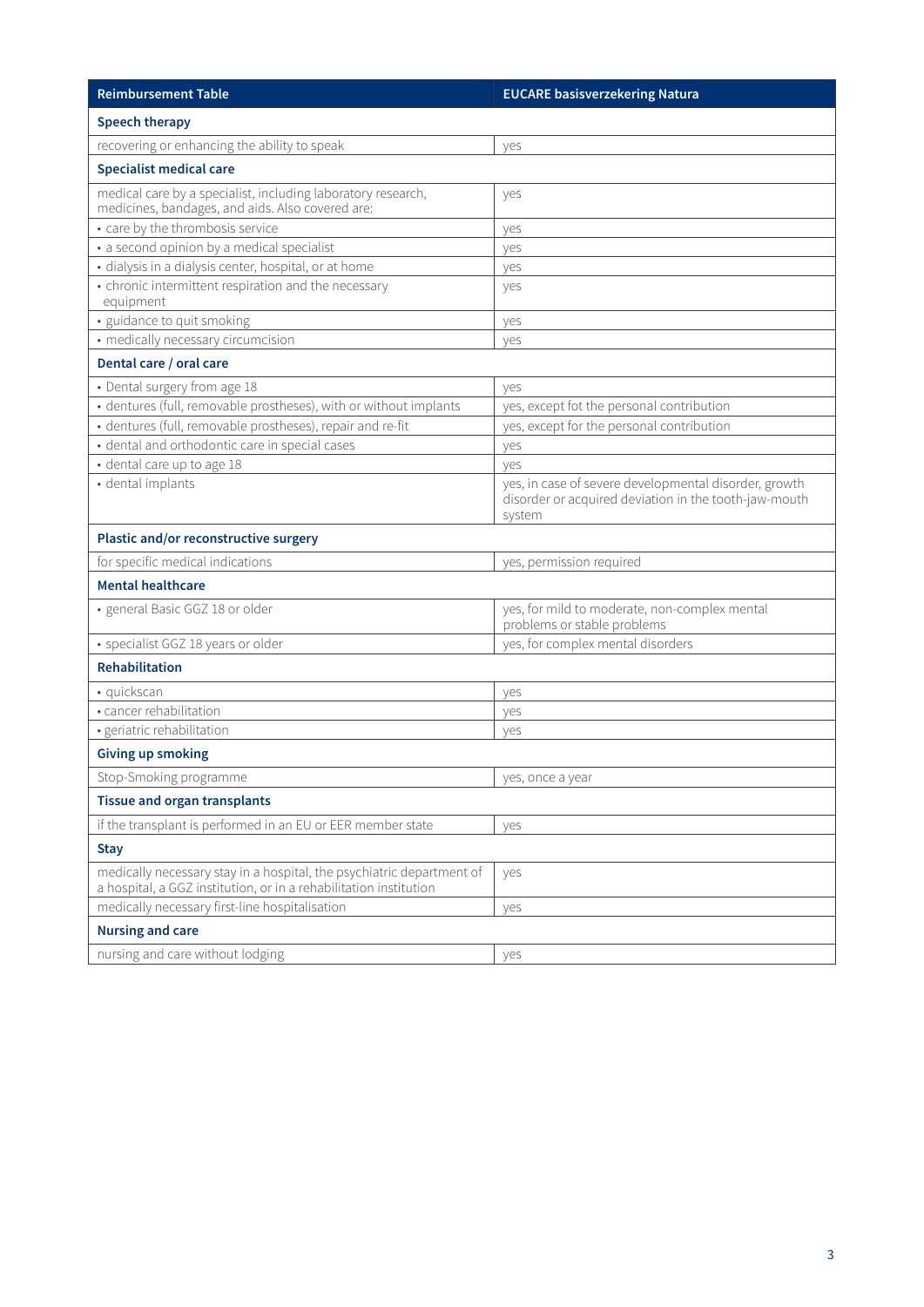| <b>Reimbursement Table</b>                                                                                                                 | <b>EUCARE basisverzekering Natura</b>                                                                                    |  |
|--------------------------------------------------------------------------------------------------------------------------------------------|--------------------------------------------------------------------------------------------------------------------------|--|
| <b>Speech therapy</b>                                                                                                                      |                                                                                                                          |  |
| recovering or enhancing the ability to speak                                                                                               | yes                                                                                                                      |  |
| <b>Specialist medical care</b>                                                                                                             |                                                                                                                          |  |
| medical care by a specialist, including laboratory research,<br>medicines, bandages, and aids. Also covered are:                           | yes                                                                                                                      |  |
| • care by the thrombosis service                                                                                                           | yes                                                                                                                      |  |
| • a second opinion by a medical specialist                                                                                                 | yes                                                                                                                      |  |
| · dialysis in a dialysis center, hospital, or at home                                                                                      | yes                                                                                                                      |  |
| • chronic intermittent respiration and the necessary<br>equipment                                                                          | yes                                                                                                                      |  |
| · guidance to quit smoking                                                                                                                 | yes                                                                                                                      |  |
| • medically necessary circumcision                                                                                                         | yes                                                                                                                      |  |
| Dental care / oral care                                                                                                                    |                                                                                                                          |  |
| • Dental surgery from age 18                                                                                                               | yes                                                                                                                      |  |
| · dentures (full, removable prostheses), with or without implants                                                                          | yes, except fot the personal contribution                                                                                |  |
| · dentures (full, removable prostheses), repair and re-fit                                                                                 | yes, except for the personal contribution                                                                                |  |
| · dental and orthodontic care in special cases                                                                                             | yes                                                                                                                      |  |
| · dental care up to age 18                                                                                                                 | ves                                                                                                                      |  |
| · dental implants                                                                                                                          | yes, in case of severe developmental disorder, growth<br>disorder or acquired deviation in the tooth-jaw-mouth<br>system |  |
| Plastic and/or reconstructive surgery                                                                                                      |                                                                                                                          |  |
| for specific medical indications                                                                                                           | yes, permission required                                                                                                 |  |
| <b>Mental healthcare</b>                                                                                                                   |                                                                                                                          |  |
| · general Basic GGZ 18 or older                                                                                                            | yes, for mild to moderate, non-complex mental<br>problems or stable problems                                             |  |
| · specialist GGZ 18 years or older                                                                                                         | yes, for complex mental disorders                                                                                        |  |
| <b>Rehabilitation</b>                                                                                                                      |                                                                                                                          |  |
| · quickscan                                                                                                                                | yes                                                                                                                      |  |
| · cancer rehabilitation                                                                                                                    | yes                                                                                                                      |  |
| · geriatric rehabilitation                                                                                                                 | yes                                                                                                                      |  |
| <b>Giving up smoking</b>                                                                                                                   |                                                                                                                          |  |
| Stop-Smoking programme                                                                                                                     | yes, once a year                                                                                                         |  |
| <b>Tissue and organ transplants</b>                                                                                                        |                                                                                                                          |  |
| if the transplant is performed in an EU or EER member state                                                                                | yes                                                                                                                      |  |
| <b>Stay</b>                                                                                                                                |                                                                                                                          |  |
| medically necessary stay in a hospital, the psychiatric department of<br>a hospital, a GGZ institution, or in a rehabilitation institution | yes                                                                                                                      |  |
| medically necessary first-line hospitalisation                                                                                             | yes                                                                                                                      |  |
| <b>Nursing and care</b>                                                                                                                    |                                                                                                                          |  |
| nursing and care without lodging                                                                                                           | yes                                                                                                                      |  |